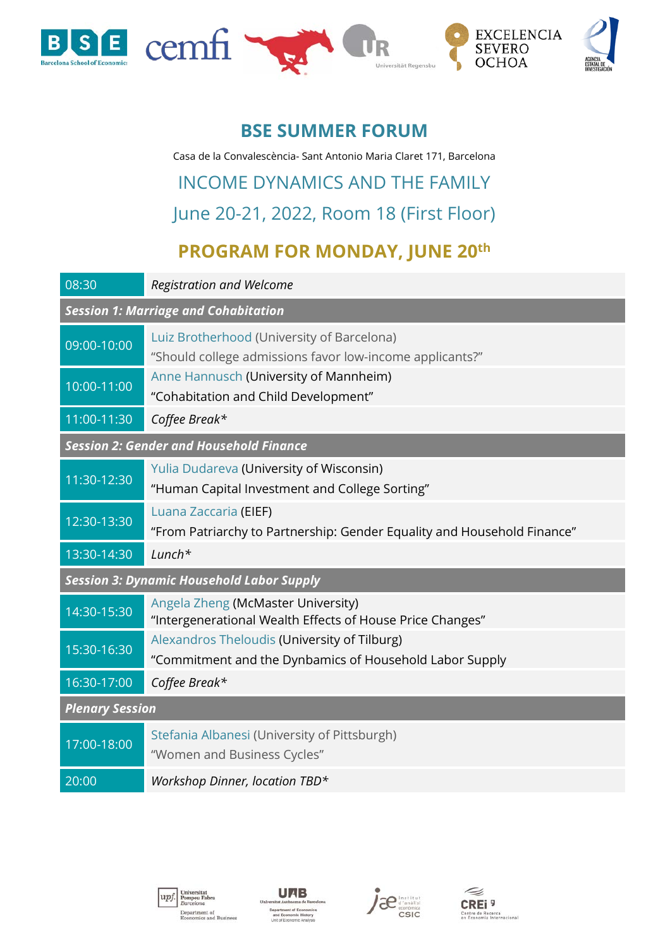

#### **BSE SUMMER FORUM**

Casa de la Convalescència- Sant Antonio Maria Claret 171, Barcelona

# INCOME DYNAMICS AND THE FAMILY June 20-21, 2022, Room 18 (First Floor)

### **PROGRAM FOR MONDAY, JUNE 20th**

| 08:30                                            | <b>Registration and Welcome</b>                                                                         |  |
|--------------------------------------------------|---------------------------------------------------------------------------------------------------------|--|
| <b>Session 1: Marriage and Cohabitation</b>      |                                                                                                         |  |
| 09:00-10:00                                      | Luiz Brotherhood (University of Barcelona)<br>"Should college admissions favor low-income applicants?"  |  |
| 10:00-11:00                                      | Anne Hannusch (University of Mannheim)<br>"Cohabitation and Child Development"                          |  |
| 11:00-11:30                                      | Coffee Break*                                                                                           |  |
| <b>Session 2: Gender and Household Finance</b>   |                                                                                                         |  |
| 11:30-12:30                                      | Yulia Dudareva (University of Wisconsin)<br>"Human Capital Investment and College Sorting"              |  |
| 12:30-13:30                                      | Luana Zaccaria (EIEF)<br>"From Patriarchy to Partnership: Gender Equality and Household Finance"        |  |
| 13:30-14:30                                      | $Lunch*$                                                                                                |  |
| <b>Session 3: Dynamic Household Labor Supply</b> |                                                                                                         |  |
| 14:30-15:30                                      | Angela Zheng (McMaster University)<br>"Intergenerational Wealth Effects of House Price Changes"         |  |
| 15:30-16:30                                      | Alexandros Theloudis (University of Tilburg)<br>"Commitment and the Dynbamics of Household Labor Supply |  |
| 16:30-17:00                                      | Coffee Break*                                                                                           |  |
| <b>Plenary Session</b>                           |                                                                                                         |  |
| 17:00-18:00                                      | Stefania Albanesi (University of Pittsburgh)<br>"Women and Business Cycles"                             |  |
| 20:00                                            | Workshop Dinner, location TBD*                                                                          |  |